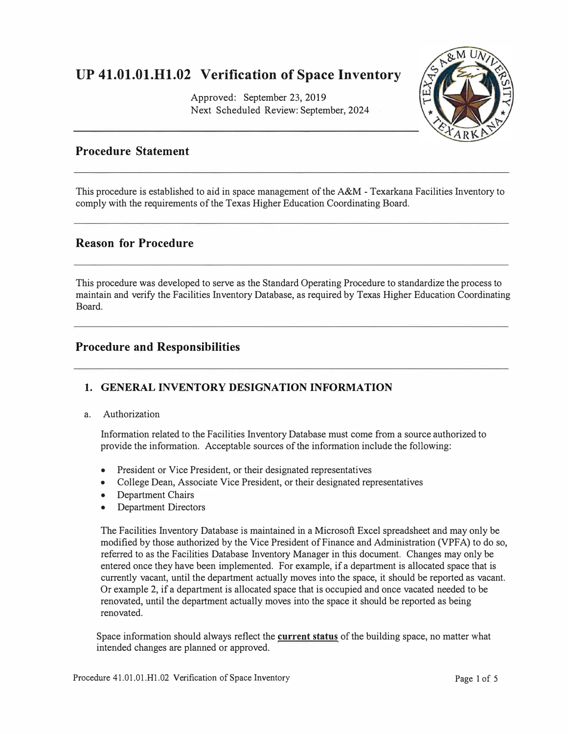# **UP 41.01.01.H1.02 Verification of Space Inventory**

Approved: September 23, 2019 Next Scheduled Review: September, 2024



### **Procedure Statement**

This procedure is established to aid in space management of the A&M - Texarkana Facilities Inventory to comply with the requirements of the Texas Higher Education Coordinating Board.

### **Reason for Procedure**

This procedure was developed to serve as the Standard Operating Procedure to standardize the process to maintain and verify the Facilities Inventory Database, as required by Texas Higher Education Coordinating Board.

### **Procedure and Responsibilities**

### **1. GENERAL INVENTORY DESIGNATION INFORMATION**

#### a. Authorization

Information related to the Facilities Inventory Database must come from a source authorized to provide the information. Acceptable sources of the information include the following:

- President or Vice President, or their designated representatives
- College Dean, Associate Vice President, or their designated representatives
- Department Chairs
- Department Directors

The Facilities Inventory Database is maintained in a Microsoft Excel spreadsheet and may only be modified by those authorized by the Vice President of Finance and Administration (VPFA) to do so, referred to as the Facilities Database Inventory Manager in this document. Changes may only be entered once they have been implemented. For example, if a department is allocated space that is currently vacant, until the department actually moves into the space, it should be reported as vacant. Or example 2, if a department is allocated space that is occupied and once vacated needed to be renovated, until the department actually moves into the space it should be reported as being renovated.

Space information should always reflect the **current status** of the building space, no matter what intended changes are planned or approved.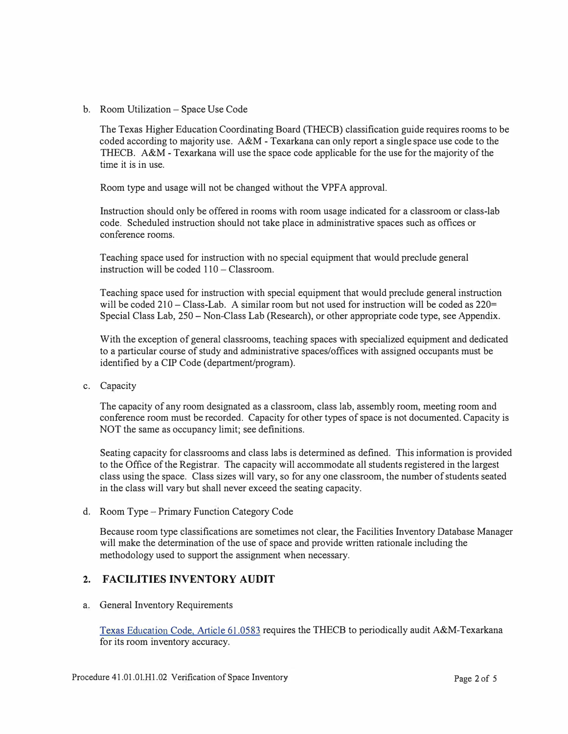b. Room Utilization - Space Use Code

The Texas Higher Education Coordinating Board (THECB) classification guide requires rooms to be coded according to majority use. A&M - Texarkana can only report a single space use code to the THECB. A&M - Texarkana will use the space code applicable for the use for the majority of the time it is in use.

Room type and usage will not be changed without the VPFA approval.

Instruction should only be offered in rooms with room usage indicated for a classroom or class-lab code. Scheduled instruction should not take place in administrative spaces such as offices or conference rooms.

Teaching space used for instruction with no special equipment that would preclude general instruction will be coded  $110 - \text{Classification}$ .

Teaching space used for instruction with special equipment that would preclude general instruction will be coded 210 - Class-Lab. A similar room but not used for instruction will be coded as 220= Special Class Lab, 250 - Non-Class Lab (Research), or other appropriate code type, see Appendix.

With the exception of general classrooms, teaching spaces with specialized equipment and dedicated to a particular course of study and administrative spaces/offices with assigned occupants must be identified by a CIP Code ( department/program).

c. Capacity

The capacity of any room designated as a classroom, class lab, assembly room, meeting room and conference room must be recorded. Capacity for other types of space is not documented. Capacity is NOT the same as occupancy limit; see definitions.

Seating capacity for classrooms and class labs is determined as defined. This information is provided to the Office of the Registrar. The capacity will accommodate all students registered in the largest class using the space. Class sizes will vary, so for any one classroom, the number of students seated in the class will vary but shall never exceed the seating capacity.

d. Room Type - Primary Function Category Code

Because room type classifications are sometimes not clear, the Facilities Inventory Database Manager will make the determination of the use of space and provide written rationale including the methodology used to support the assignment when necessary.

#### **2. FACILITIES INVENTORY AUDIT**

a. General Inventory Requirements

[Texas Education Code, Atticle 61.0583](https://statutes.capitol.texas.gov/Docs/ED/htm/ED.61.htm) requires the THECB to periodically audit A&M-Texarkana for its room inventory accuracy.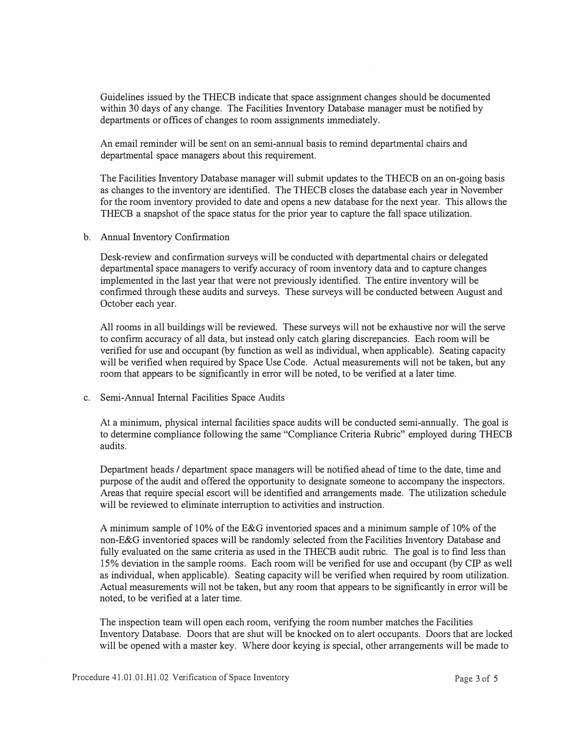Guidelines issued by the THECB indicate that space assignment changes should be documented within 30 days of any change. The Facilities Inventory Database manager must be notified by departments or offices of changes to room assignments immediately.

An email reminder will be sent on an semi-annual basis to remind departmental chairs and departmental space managers about this requirement.

The Facilities Inventory Database manager will submit updates to the THECB on an on-going basis as changes to the inventory are identified. The THECB closes the database each year in November for the room inventory provided to date and opens a new database for the next year. This allows the THECB a snapshot of the space status for the prior year to capture the fall space utilization.

b. Annual Inventory Confirmation

Desk-review and confirmation surveys will be conducted with departmental chairs or delegated departmental space managers to verify accuracy of room inventory data and to capture changes implemented in the last year that were not previously identified. The entire inventory will be confirmed through these audits and surveys. These surveys will be conducted between August and October each year.

All rooms in all buildings will be reviewed. These surveys will not be exhaustive nor will the serve to confirm accuracy of all data, but instead only catch glaring discrepancies. Each room will be verified for use and occupant (by function as well as individual, when applicable). Seating capacity will be verified when required by Space Use Code. Actual measurements will not be taken, but any room that appears to be significantly in error will be noted, to be verified at a later time.

c. Semi-Annual Internal Facilities Space Audits

At a minimum, physical internal facilities space audits will be conducted semi-annually. The goal is to determine compliance following the same "Compliance Criteria Rubric" employed during THECB audits.

Department heads / department space managers will be notified ahead of time to the date, time and purpose of the audit and offered the opportunity to designate someone to accompany the inspectors. Areas that require special escort will be identified and arrangements made. The utilization schedule will be reviewed to eliminate interruption to activities and instruction.

A minimum sample of 10% of the E&G inventoried spaces and a minimum sample of 10% of the non-E&G inventoried spaces will be randomly selected from the Facilities Inventory Database and fully evaluated on the same criteria as used in the THECB audit rubric. The goal is to find less than 15% deviation in the sample rooms. Each room will be verified for use and occupant (by CIP as well as individual, when applicable). Seating capacity will be verified when required by room utilization. Actual measurements will not be taken, but any room that appears to be significantly in error will be noted, to be verified at a later time.

The inspection team will open each room, verifying the room number matches the Facilities Inventory Database. Doors that are shut will be knocked on to alert occupants. Doors that are locked will be opened with a master key. Where door keying is special, other arrangements will be made to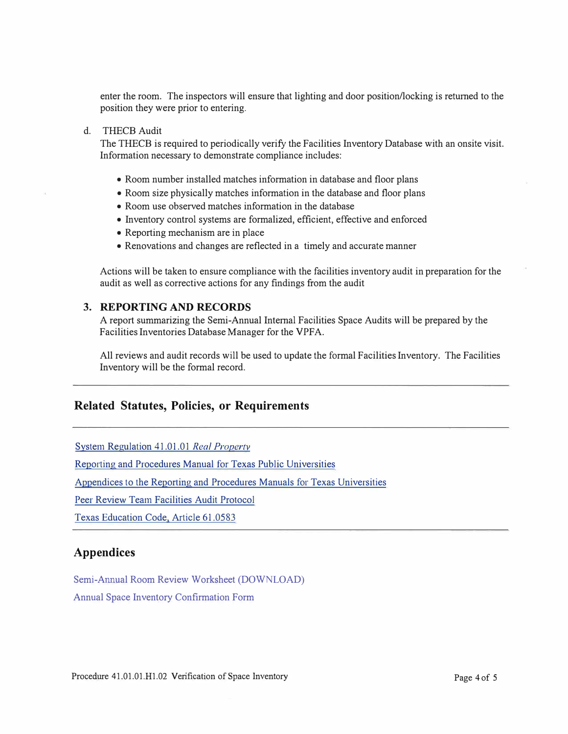enter the room. The inspectors will ensure that lighting and door position/locking is returned to the position they were prior to entering.

#### d. THECB Audit

The THECB is required to periodically verify the Facilities Inventory Database with an onsite visit. Information necessary to demonstrate compliance includes:

- Room number installed matches information in database and floor plans
- Room size physically matches information in the database and floor plans
- Room use observed matches information in the database
- Inventory control systems are formalized, efficient, effective and enforced
- Reporting mechanism are in place
- Renovations and changes are reflected in a timely and accurate manner

Actions will be taken to ensure compliance with the facilities inventory audit in preparation for the audit as well as corrective actions for any findings from the audit

#### **3. REPORTING AND RECORDS**

A report summarizing the Semi-Annual Internal Facilities Space Audits will be prepared by the Facilities Inventories Database Manager for the VPFA.

All reviews and audit records will be used to update the formal Facilities Inventory. The Facilities Inventory will be the formal record.

### **Related Statutes, Policies, or Requirements**

[System Regulation 41.01 .01](http://policies.tamus.edu/41-01-01.pdf) *Real Propertv* 

[Reporting and Procedures Manual for Texas Public Universities](http://www.thecb.state.tx.us/reports/PDF/12667.PDF) 

[Appendices to the Reporting and Procedures Manuals for Texas Universities](http://www.thecb.state.tx.us/reports/PDF/11538.PDF) 

[Peer Review Team Facilities Audit Protocol](http://www.thecb.state.tx.us/reports/PDF/6564.PDF) 

[Texas Education Code, Article 61.0583](https://statutes.capitol.texas.gov/Docs/ED/htm/ED.61.htm)

#### **Appendices**

[Semi-Annual Room Review Worksheet](https://tamut.edu/about/administration/about/rules/Semi-Annual_Room_Review_Worksheet.pdf) (DOWNLOAD) [Annual Space Inventory Confirmation Form](https://tamut.edu/about/administration/about/rules/Annual_Space_Inventory_Confirmation_Form.xlsx)